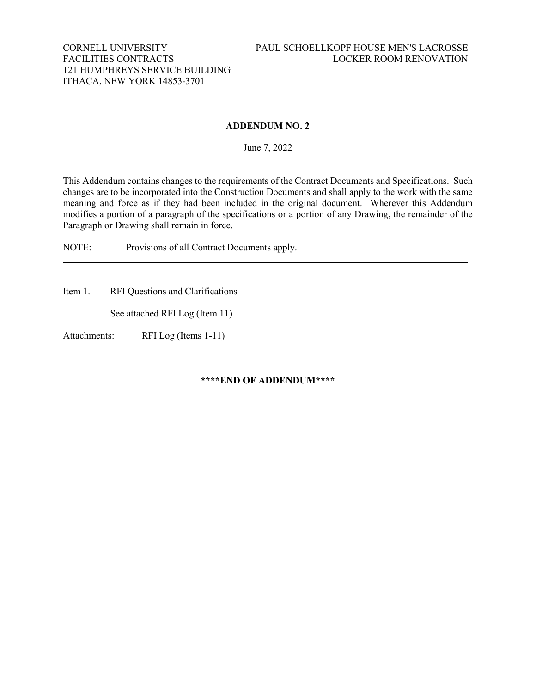## **ADDENDUM NO. 2**

June 7, 2022

This Addendum contains changes to the requirements of the Contract Documents and Specifications. Such changes are to be incorporated into the Construction Documents and shall apply to the work with the same meaning and force as if they had been included in the original document. Wherever this Addendum modifies a portion of a paragraph of the specifications or a portion of any Drawing, the remainder of the Paragraph or Drawing shall remain in force.

NOTE: Provisions of all Contract Documents apply.

Item 1. RFI Questions and Clarifications

See attached RFI Log (Item 11)

Attachments: RFI Log (Items 1-11)

**\*\*\*\*END OF ADDENDUM\*\*\*\***